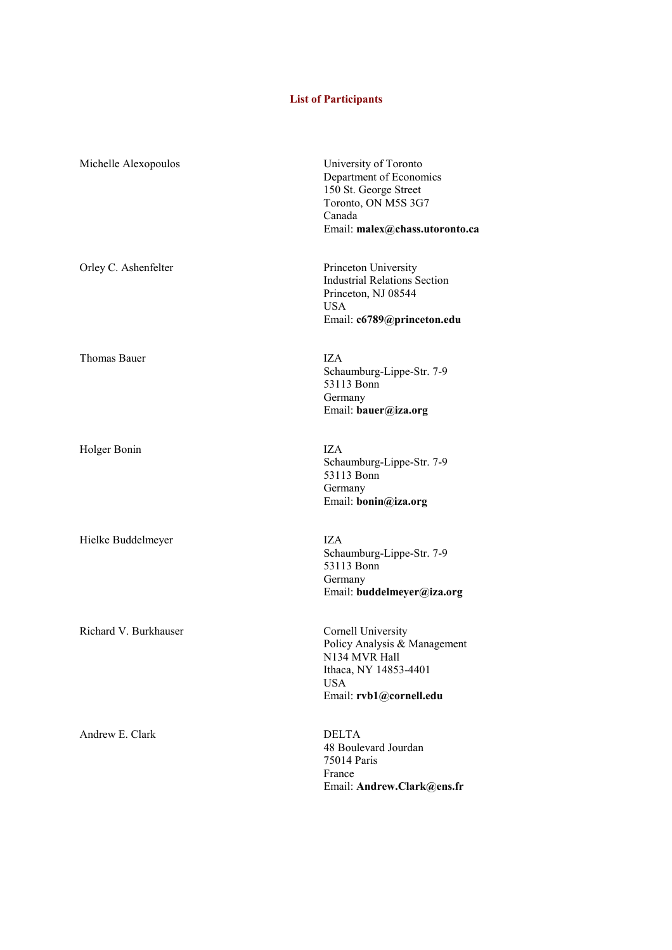## **List of Participants**

| Michelle Alexopoulos  | University of Toronto<br>Department of Economics<br>150 St. George Street<br>Toronto, ON M5S 3G7<br>Canada<br>Email: malex@chass.utoronto.ca |
|-----------------------|----------------------------------------------------------------------------------------------------------------------------------------------|
| Orley C. Ashenfelter  | Princeton University<br><b>Industrial Relations Section</b><br>Princeton, NJ 08544<br><b>USA</b><br>Email: c6789@princeton.edu               |
| Thomas Bauer          | IZA<br>Schaumburg-Lippe-Str. 7-9<br>53113 Bonn<br>Germany<br>Email: bauer@iza.org                                                            |
| Holger Bonin          | IZA.<br>Schaumburg-Lippe-Str. 7-9<br>53113 Bonn<br>Germany<br>Email: bonin@iza.org                                                           |
| Hielke Buddelmeyer    | IZA<br>Schaumburg-Lippe-Str. 7-9<br>53113 Bonn<br>Germany<br>Email: buddelmeyer@iza.org                                                      |
| Richard V. Burkhauser | Cornell University<br>Policy Analysis & Management<br>N134 MVR Hall<br>Ithaca, NY 14853-4401<br><b>USA</b><br>Email: rvb1@cornell.edu        |
| Andrew E. Clark       | <b>DELTA</b><br>48 Boulevard Jourdan<br>75014 Paris<br>France<br>Email: Andrew.Clark@ens.fr                                                  |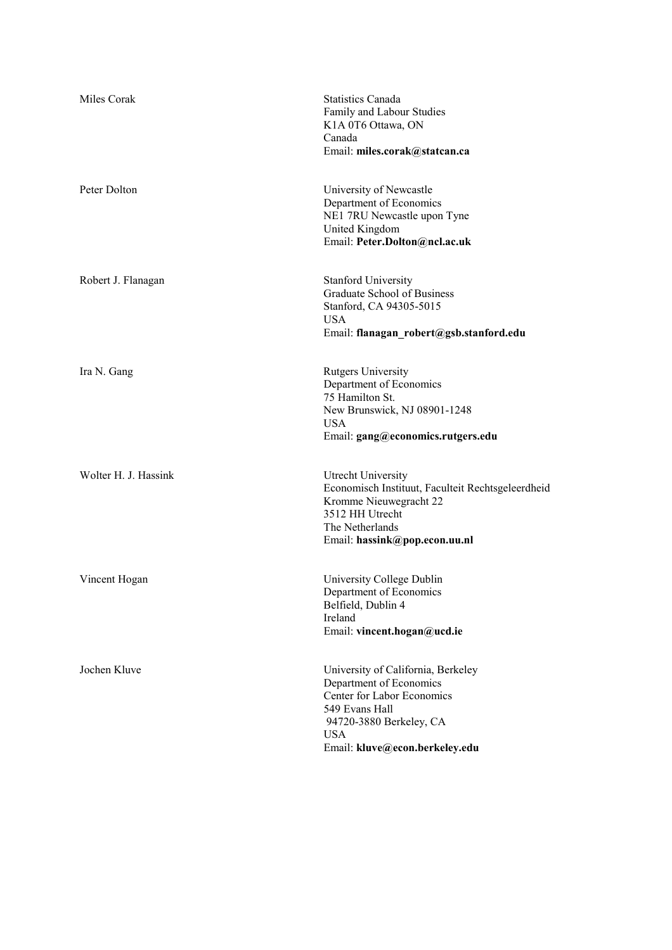| Miles Corak          | <b>Statistics Canada</b><br>Family and Labour Studies<br>K1A 0T6 Ottawa, ON<br>Canada<br>Email: miles.corak@statcan.ca                                                                   |
|----------------------|------------------------------------------------------------------------------------------------------------------------------------------------------------------------------------------|
| Peter Dolton         | University of Newcastle<br>Department of Economics<br>NE1 7RU Newcastle upon Tyne<br>United Kingdom<br>Email: Peter.Dolton@ncl.ac.uk                                                     |
| Robert J. Flanagan   | <b>Stanford University</b><br>Graduate School of Business<br>Stanford, CA 94305-5015<br><b>USA</b><br>Email: flanagan robert@gsb.stanford.edu                                            |
| Ira N. Gang          | <b>Rutgers University</b><br>Department of Economics<br>75 Hamilton St.<br>New Brunswick, NJ 08901-1248<br><b>USA</b><br>Email: gang@economics.rutgers.edu                               |
| Wolter H. J. Hassink | Utrecht University<br>Economisch Instituut, Faculteit Rechtsgeleerdheid<br>Kromme Nieuwegracht 22<br>3512 HH Utrecht<br>The Netherlands<br>Email: hassink@pop.econ.uu.nl                 |
| Vincent Hogan        | University College Dublin<br>Department of Economics<br>Belfield, Dublin 4<br>Ireland<br>Email: vincent.hogan@ucd.ie                                                                     |
| Jochen Kluve         | University of California, Berkeley<br>Department of Economics<br>Center for Labor Economics<br>549 Evans Hall<br>94720-3880 Berkeley, CA<br><b>USA</b><br>Email: kluve@econ.berkeley.edu |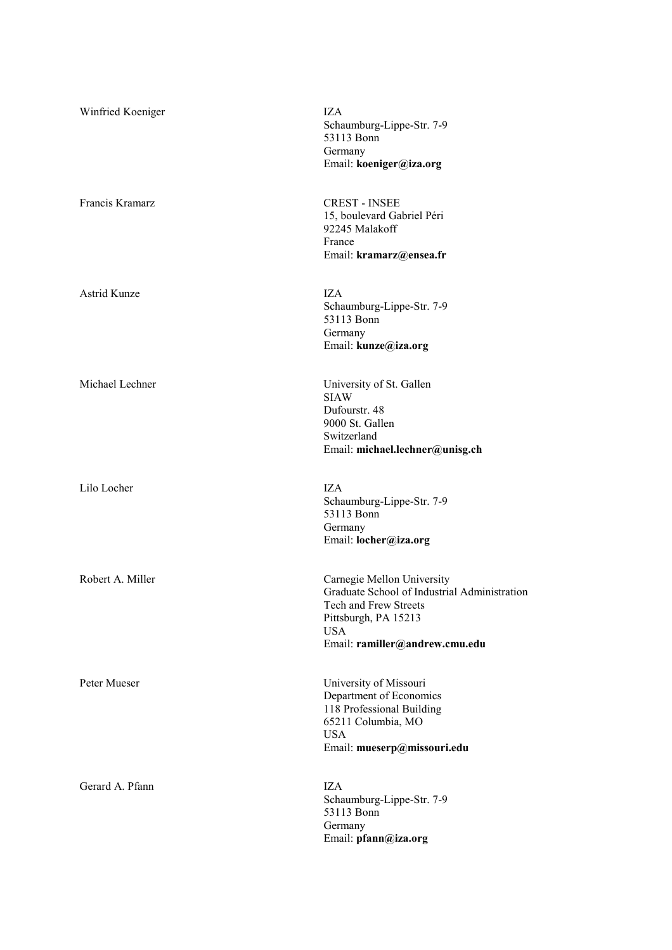| Winfried Koeniger   | IZA<br>Schaumburg-Lippe-Str. 7-9<br>53113 Bonn<br>Germany<br>Email: koeniger@iza.org                                                                                        |
|---------------------|-----------------------------------------------------------------------------------------------------------------------------------------------------------------------------|
| Francis Kramarz     | <b>CREST - INSEE</b><br>15, boulevard Gabriel Péri<br>92245 Malakoff<br>France<br>Email: kramarz@ensea.fr                                                                   |
| <b>Astrid Kunze</b> | <b>IZA</b><br>Schaumburg-Lippe-Str. 7-9<br>53113 Bonn<br>Germany<br>Email: kunze@iza.org                                                                                    |
| Michael Lechner     | University of St. Gallen<br><b>SIAW</b><br>Dufourstr. 48<br>9000 St. Gallen<br>Switzerland<br>Email: michael.lechner@unisg.ch                                               |
| Lilo Locher         | <b>IZA</b><br>Schaumburg-Lippe-Str. 7-9<br>53113 Bonn<br>Germany<br>Email: locher@iza.org                                                                                   |
| Robert A. Miller    | Carnegie Mellon University<br>Graduate School of Industrial Administration<br>Tech and Frew Streets<br>Pittsburgh, PA 15213<br><b>USA</b><br>Email: ramiller@andrew.cmu.edu |
| Peter Mueser        | University of Missouri<br>Department of Economics<br>118 Professional Building<br>65211 Columbia, MO<br><b>USA</b><br>Email: mueserp@missouri.edu                           |
| Gerard A. Pfann     | <b>IZA</b><br>Schaumburg-Lippe-Str. 7-9<br>53113 Bonn<br>Germany<br>Email: pfann@iza.org                                                                                    |